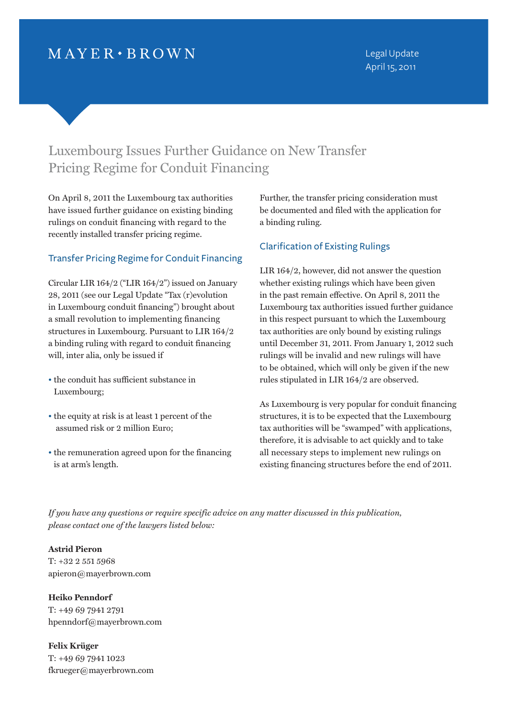## $MAYER \cdot BROWN$

# Luxembourg Issues Further Guidance on New Transfer Pricing Regime for Conduit Financing

On April 8, 2011 the Luxembourg tax authorities have issued further guidance on existing binding rulings on conduit financing with regard to the recently installed transfer pricing regime.

### Transfer Pricing Regime for Conduit Financing

Circular LIR 164/2 ("LIR 164/2") issued on January 28, 2011 (see our Legal Update "Tax (r)evolution in Luxembourg conduit financing") brought about a small revolution to implementing financing structures in Luxembourg. Pursuant to LIR 164/2 a binding ruling with regard to conduit financing will, inter alia, only be issued if

- the conduit has sufficient substance in Luxembourg;
- the equity at risk is at least 1 percent of the assumed risk or 2 million Euro;
- the remuneration agreed upon for the financing is at arm's length.

Further, the transfer pricing consideration must be documented and filed with the application for a binding ruling.

### Clarification of Existing Rulings

LIR 164/2, however, did not answer the question whether existing rulings which have been given in the past remain effective. On April 8, 2011 the Luxembourg tax authorities issued further guidance in this respect pursuant to which the Luxembourg tax authorities are only bound by existing rulings until December 31, 2011. From January 1, 2012 such rulings will be invalid and new rulings will have to be obtained, which will only be given if the new rules stipulated in LIR 164/2 are observed.

As Luxembourg is very popular for conduit financing structures, it is to be expected that the Luxembourg tax authorities will be "swamped" with applications, therefore, it is advisable to act quickly and to take all necessary steps to implement new rulings on existing financing structures before the end of 2011.

*If you have any questions or require specific advice on any matter discussed in this publication, please contact one of the lawyers listed below:*

#### **Astrid Pieron**

T: +32 2 551 5968 apieron@mayerbrown.com

**Heiko Penndorf** T: +49 69 7941 2791 hpenndorf@mayerbrown.com

**Felix Krüger** T: +49 69 7941 1023 fkrueger@mayerbrown.com